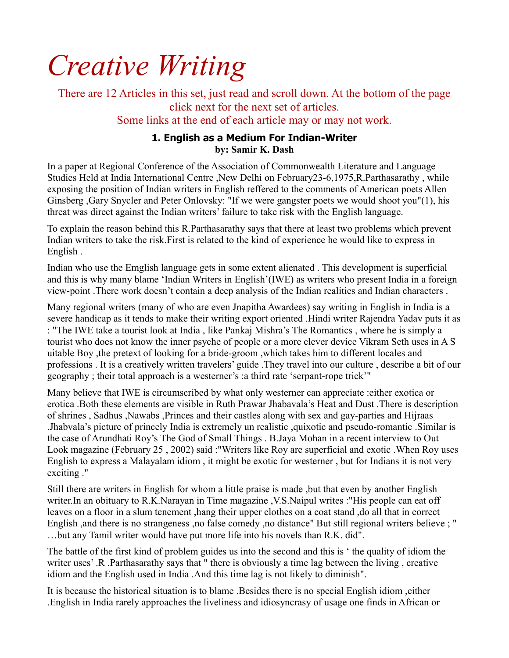# *Creative Writing*

There are 12 Articles in this set, just read and scroll down. At the bottom of the page click next for the next set of articles. Some links at the end of each article may or may not work.

# **1. English as a Medium For Indian-Writer by: Samir K. Dash**

In a paper at Regional Conference of the Association of Commonwealth Literature and Language Studies Held at India International Centre ,New Delhi on February23-6,1975,R.Parthasarathy , while exposing the position of Indian writers in English reffered to the comments of American poets Allen Ginsberg ,Gary Snycler and Peter Onlovsky: "If we were gangster poets we would shoot you"(1), his threat was direct against the Indian writers' failure to take risk with the English language.

To explain the reason behind this R.Parthasarathy says that there at least two problems which prevent Indian writers to take the risk.First is related to the kind of experience he would like to express in English .

Indian who use the Emglish language gets in some extent alienated . This development is superficial and this is why many blame 'Indian Writers in English'(IWE) as writers who present India in a foreign view-point .There work doesn't contain a deep analysis of the Indian realities and Indian characters .

Many regional writers (many of who are even Jnapitha Awardees) say writing in English in India is a severe handicap as it tends to make their writing export oriented .Hindi writer Rajendra Yadav puts it as : "The IWE take a tourist look at India , like Pankaj Mishra's The Romantics , where he is simply a tourist who does not know the inner psyche of people or a more clever device Vikram Seth uses in A S uitable Boy ,the pretext of looking for a bride-groom ,which takes him to different locales and professions . It is a creatively written travelers' guide .They travel into our culture , describe a bit of our geography ; their total approach is a westerner's :a third rate 'serpant-rope trick'"

Many believe that IWE is circumscribed by what only westerner can appreciate :either exotica or erotica .Both these elements are visible in Ruth Prawar Jhabavala's Heat and Dust .There is description of shrines , Sadhus ,Nawabs ,Princes and their castles along with sex and gay-parties and Hijraas .Jhabvala's picture of princely India is extremely un realistic ,quixotic and pseudo-romantic .Similar is the case of Arundhati Roy's The God of Small Things . B.Jaya Mohan in a recent interview to Out Look magazine (February 25 , 2002) said :"Writers like Roy are superficial and exotic .When Roy uses English to express a Malayalam idiom , it might be exotic for westerner , but for Indians it is not very exciting ."

Still there are writers in English for whom a little praise is made ,but that even by another English writer.In an obituary to R.K.Narayan in Time magazine ,V.S.Naipul writes :"His people can eat off leaves on a floor in a slum tenement ,hang their upper clothes on a coat stand ,do all that in correct English ,and there is no strangeness ,no false comedy ,no distance" But still regional writers believe ; " …but any Tamil writer would have put more life into his novels than R.K. did".

The battle of the first kind of problem guides us into the second and this is ' the quality of idiom the writer uses' .R .Parthasarathy says that " there is obviously a time lag between the living , creative idiom and the English used in India .And this time lag is not likely to diminish".

It is because the historical situation is to blame .Besides there is no special English idiom ,either .English in India rarely approaches the liveliness and idiosyncrasy of usage one finds in African or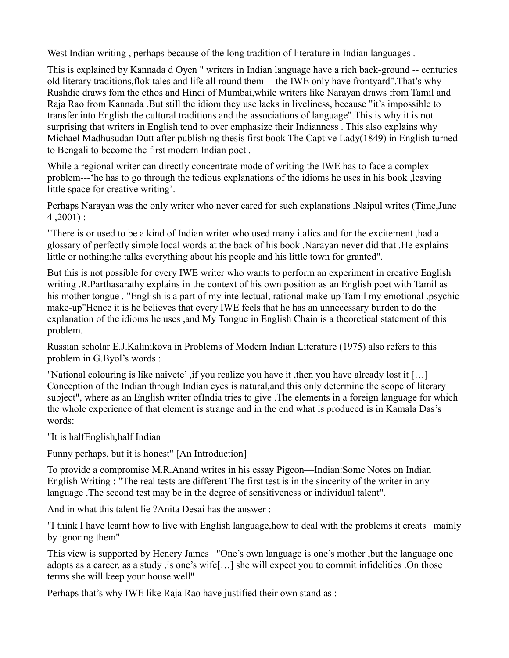West Indian writing , perhaps because of the long tradition of literature in Indian languages .

This is explained by Kannada d Oyen " writers in Indian language have a rich back-ground -- centuries old literary traditions,flok tales and life all round them -- the IWE only have frontyard".That's why Rushdie draws fom the ethos and Hindi of Mumbai,while writers like Narayan draws from Tamil and Raja Rao from Kannada .But still the idiom they use lacks in liveliness, because "it's impossible to transfer into English the cultural traditions and the associations of language".This is why it is not surprising that writers in English tend to over emphasize their Indianness . This also explains why Michael Madhusudan Dutt after publishing thesis first book The Captive Lady(1849) in English turned to Bengali to become the first modern Indian poet .

While a regional writer can directly concentrate mode of writing the IWE has to face a complex problem---'he has to go through the tedious explanations of the idioms he uses in his book ,leaving little space for creative writing'.

Perhaps Narayan was the only writer who never cared for such explanations .Naipul writes (Time,June  $4,2001$ :

"There is or used to be a kind of Indian writer who used many italics and for the excitement ,had a glossary of perfectly simple local words at the back of his book .Narayan never did that .He explains little or nothing;he talks everything about his people and his little town for granted".

But this is not possible for every IWE writer who wants to perform an experiment in creative English writing .R.Parthasarathy explains in the context of his own position as an English poet with Tamil as his mother tongue . "English is a part of my intellectual, rational make-up Tamil my emotional ,psychic make-up"Hence it is he believes that every IWE feels that he has an unnecessary burden to do the explanation of the idioms he uses ,and My Tongue in English Chain is a theoretical statement of this problem.

Russian scholar E.J.Kalinikova in Problems of Modern Indian Literature (1975) also refers to this problem in G.Byol's words :

"National colouring is like naivete' ,if you realize you have it ,then you have already lost it […] Conception of the Indian through Indian eyes is natural,and this only determine the scope of literary subject", where as an English writer ofIndia tries to give .The elements in a foreign language for which the whole experience of that element is strange and in the end what is produced is in Kamala Das's words:

"It is halfEnglish,half Indian

Funny perhaps, but it is honest" [An Introduction]

To provide a compromise M.R.Anand writes in his essay Pigeon—Indian:Some Notes on Indian English Writing : "The real tests are different The first test is in the sincerity of the writer in any language .The second test may be in the degree of sensitiveness or individual talent".

And in what this talent lie ?Anita Desai has the answer :

"I think I have learnt how to live with English language,how to deal with the problems it creats –mainly by ignoring them"

This view is supported by Henery James –"One's own language is one's mother ,but the language one adopts as a career, as a study ,is one's wife[…] she will expect you to commit infidelities .On those terms she will keep your house well"

Perhaps that's why IWE like Raja Rao have justified their own stand as :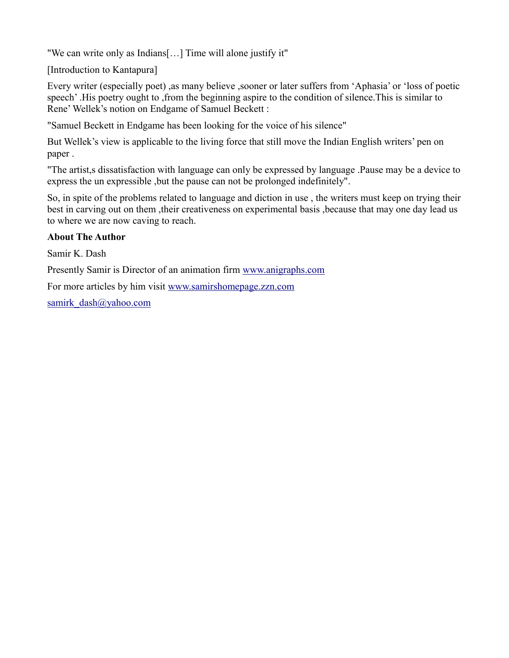"We can write only as Indians[…] Time will alone justify it"

[Introduction to Kantapura]

Every writer (especially poet) ,as many believe ,sooner or later suffers from 'Aphasia' or 'loss of poetic speech' .His poetry ought to ,from the beginning aspire to the condition of silence.This is similar to Rene' Wellek's notion on Endgame of Samuel Beckett :

"Samuel Beckett in Endgame has been looking for the voice of his silence"

But Wellek's view is applicable to the living force that still move the Indian English writers' pen on paper .

"The artist,s dissatisfaction with language can only be expressed by language .Pause may be a device to express the un expressible ,but the pause can not be prolonged indefinitely".

So, in spite of the problems related to language and diction in use , the writers must keep on trying their best in carving out on them ,their creativeness on experimental basis ,because that may one day lead us to where we are now caving to reach.

## **About The Author**

Samir K. Dash

Presently Samir is Director of an animation firm [www.anigraphs.com](http://www.anigraphs.com/)

For more articles by him visit [www.samirshomepage.zzn.com](http://www.samirshomepage.zzn.com/)

[samirk\\_dash@yahoo.com](mailto:samirk_dash@yahoo.com)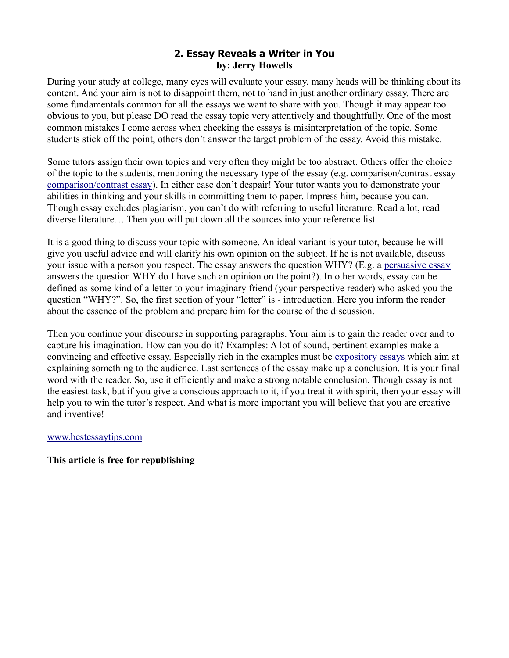## **2. Essay Reveals a Writer in You by: Jerry Howells**

During your study at college, many eyes will evaluate your essay, many heads will be thinking about its content. And your aim is not to disappoint them, not to hand in just another ordinary essay. There are some fundamentals common for all the essays we want to share with you. Though it may appear too obvious to you, but please DO read the essay topic very attentively and thoughtfully. One of the most common mistakes I come across when checking the essays is misinterpretation of the topic. Some students stick off the point, others don't answer the target problem of the essay. Avoid this mistake.

Some tutors assign their own topics and very often they might be too abstract. Others offer the choice of the topic to the students, mentioning the necessary type of the essay (e.g. comparison/contrast essay [comparison/contrast essay\)](http://www.bestessaytips.com/compare_and_contrast_essay.php). In either case don't despair! Your tutor wants you to demonstrate your abilities in thinking and your skills in committing them to paper. Impress him, because you can. Though essay excludes plagiarism, you can't do with referring to useful literature. Read a lot, read diverse literature… Then you will put down all the sources into your reference list.

It is a good thing to discuss your topic with someone. An ideal variant is your tutor, because he will give you useful advice and will clarify his own opinion on the subject. If he is not available, discuss your issue with a person you respect. The essay answers the question WHY? (E.g. a [persuasive essay](http://www.bestessaytips.com/persuasive_essay.php) answers the question WHY do I have such an opinion on the point?). In other words, essay can be defined as some kind of a letter to your imaginary friend (your perspective reader) who asked you the question "WHY?". So, the first section of your "letter" is - introduction. Here you inform the reader about the essence of the problem and prepare him for the course of the discussion.

Then you continue your discourse in supporting paragraphs. Your aim is to gain the reader over and to capture his imagination. How can you do it? Examples: A lot of sound, pertinent examples make a convincing and effective essay. Especially rich in the examples must be [expository essays](http://www.bestessaytips.com/expository_essay.php) which aim at explaining something to the audience. Last sentences of the essay make up a conclusion. It is your final word with the reader. So, use it efficiently and make a strong notable conclusion. Though essay is not the easiest task, but if you give a conscious approach to it, if you treat it with spirit, then your essay will help you to win the tutor's respect. And what is more important you will believe that you are creative and inventive!

#### [www.bestessaytips.com](http://www.bestessaytips.com/)

#### **This article is free for republishing**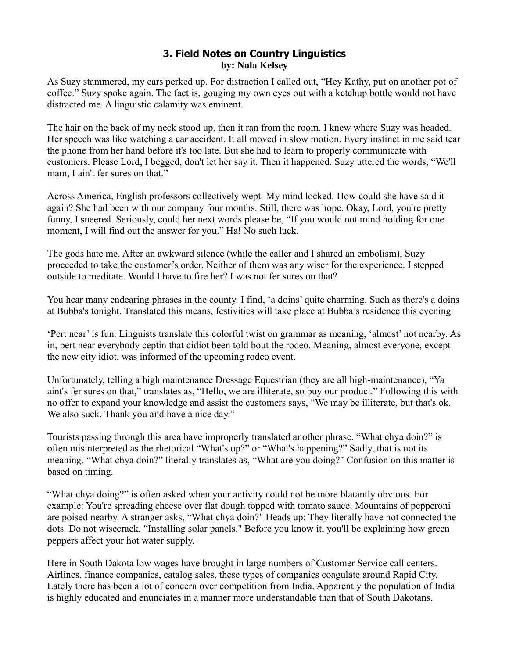# **3. Field Notes on Country Linguistics by: Nola Kelsey**

As Suzy stammered, my ears perked up. For distraction I called out, "Hey Kathy, put on another pot of coffee." Suzy spoke again. The fact is, gouging my own eyes out with a ketchup bottle would not have distracted me. A linguistic calamity was eminent.

The hair on the back of my neck stood up, then it ran from the room. I knew where Suzy was headed. Her speech was like watching a car accident. It all moved in slow motion. Every instinct in me said tear the phone from her hand before it's too late. But she had to learn to properly communicate with customers. Please Lord, I begged, don't let her say it. Then it happened. Suzy uttered the words, "We'll mam, I ain't fer sures on that."

Across America, English professors collectively wept. My mind locked. How could she have said it again? She had been with our company four months. Still, there was hope. Okay, Lord, you're pretty funny, I sneered. Seriously, could her next words please be, "If you would not mind holding for one moment, I will find out the answer for you." Ha! No such luck.

The gods hate me. After an awkward silence (while the caller and I shared an embolism), Suzy proceeded to take the customer's order. Neither of them was any wiser for the experience. I stepped outside to meditate. Would I have to fire her? I was not fer sures on that?

You hear many endearing phrases in the county. I find, 'a doins' quite charming. Such as there's a doins at Bubba's tonight. Translated this means, festivities will take place at Bubba's residence this evening.

'Pert near' is fun. Linguists translate this colorful twist on grammar as meaning, 'almost' not nearby. As in, pert near everybody ceptin that cidiot been told bout the rodeo. Meaning, almost everyone, except the new city idiot, was informed of the upcoming rodeo event.

Unfortunately, telling a high maintenance Dressage Equestrian (they are all high-maintenance), "Ya aint's fer sures on that," translates as, "Hello, we are illiterate, so buy our product." Following this with no offer to expand your knowledge and assist the customers says, "We may be illiterate, but that's ok. We also suck. Thank you and have a nice day."

Tourists passing through this area have improperly translated another phrase. "What chya doin?" is often misinterpreted as the rhetorical "What's up?" or "What's happening?" Sadly, that is not its meaning. "What chya doin?" literally translates as, "What are you doing?" Confusion on this matter is based on timing.

"What chya doing?" is often asked when your activity could not be more blatantly obvious. For example: You're spreading cheese over flat dough topped with tomato sauce. Mountains of pepperoni are poised nearby. A stranger asks, "What chya doin?" Heads up: They literally have not connected the dots. Do not wisecrack, "Installing solar panels." Before you know it, you'll be explaining how green peppers affect your hot water supply.

Here in South Dakota low wages have brought in large numbers of Customer Service call centers. Airlines, finance companies, catalog sales, these types of companies coagulate around Rapid City. Lately there has been a lot of concern over competition from India. Apparently the population of India is highly educated and enunciates in a manner more understandable than that of South Dakotans.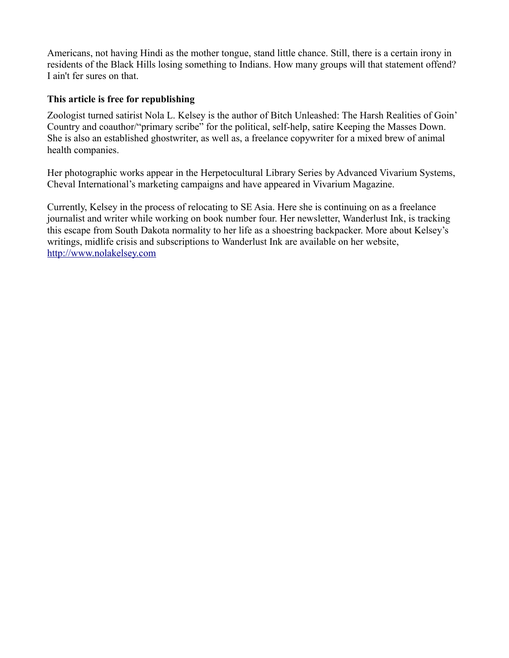Americans, not having Hindi as the mother tongue, stand little chance. Still, there is a certain irony in residents of the Black Hills losing something to Indians. How many groups will that statement offend? I ain't fer sures on that.

## **This article is free for republishing**

Zoologist turned satirist Nola L. Kelsey is the author of Bitch Unleashed: The Harsh Realities of Goin' Country and coauthor/"primary scribe" for the political, self-help, satire Keeping the Masses Down. She is also an established ghostwriter, as well as, a freelance copywriter for a mixed brew of animal health companies.

Her photographic works appear in the Herpetocultural Library Series by Advanced Vivarium Systems, Cheval International's marketing campaigns and have appeared in Vivarium Magazine.

Currently, Kelsey in the process of relocating to SE Asia. Here she is continuing on as a freelance journalist and writer while working on book number four. Her newsletter, Wanderlust Ink, is tracking this escape from South Dakota normality to her life as a shoestring backpacker. More about Kelsey's writings, midlife crisis and subscriptions to Wanderlust Ink are available on her website, [http://www.nolakelsey.com](http://www.nolakelsey.com/)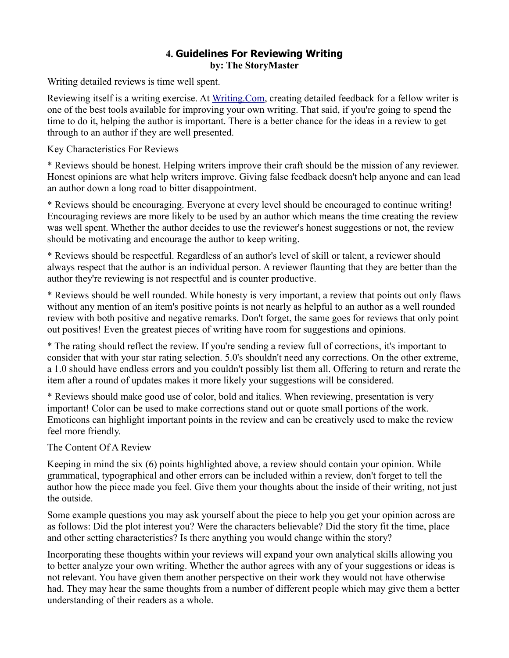## **4. Guidelines For Reviewing Writing by: The StoryMaster**

Writing detailed reviews is time well spent.

Reviewing itself is a writing exercise. At [Writing.Com,](http://Writing.Com/) creating detailed feedback for a fellow writer is one of the best tools available for improving your own writing. That said, if you're going to spend the time to do it, helping the author is important. There is a better chance for the ideas in a review to get through to an author if they are well presented.

Key Characteristics For Reviews

\* Reviews should be honest. Helping writers improve their craft should be the mission of any reviewer. Honest opinions are what help writers improve. Giving false feedback doesn't help anyone and can lead an author down a long road to bitter disappointment.

\* Reviews should be encouraging. Everyone at every level should be encouraged to continue writing! Encouraging reviews are more likely to be used by an author which means the time creating the review was well spent. Whether the author decides to use the reviewer's honest suggestions or not, the review should be motivating and encourage the author to keep writing.

\* Reviews should be respectful. Regardless of an author's level of skill or talent, a reviewer should always respect that the author is an individual person. A reviewer flaunting that they are better than the author they're reviewing is not respectful and is counter productive.

\* Reviews should be well rounded. While honesty is very important, a review that points out only flaws without any mention of an item's positive points is not nearly as helpful to an author as a well rounded review with both positive and negative remarks. Don't forget, the same goes for reviews that only point out positives! Even the greatest pieces of writing have room for suggestions and opinions.

\* The rating should reflect the review. If you're sending a review full of corrections, it's important to consider that with your star rating selection. 5.0's shouldn't need any corrections. On the other extreme, a 1.0 should have endless errors and you couldn't possibly list them all. Offering to return and rerate the item after a round of updates makes it more likely your suggestions will be considered.

\* Reviews should make good use of color, bold and italics. When reviewing, presentation is very important! Color can be used to make corrections stand out or quote small portions of the work. Emoticons can highlight important points in the review and can be creatively used to make the review feel more friendly.

## The Content Of A Review

Keeping in mind the six (6) points highlighted above, a review should contain your opinion. While grammatical, typographical and other errors can be included within a review, don't forget to tell the author how the piece made you feel. Give them your thoughts about the inside of their writing, not just the outside.

Some example questions you may ask yourself about the piece to help you get your opinion across are as follows: Did the plot interest you? Were the characters believable? Did the story fit the time, place and other setting characteristics? Is there anything you would change within the story?

Incorporating these thoughts within your reviews will expand your own analytical skills allowing you to better analyze your own writing. Whether the author agrees with any of your suggestions or ideas is not relevant. You have given them another perspective on their work they would not have otherwise had. They may hear the same thoughts from a number of different people which may give them a better understanding of their readers as a whole.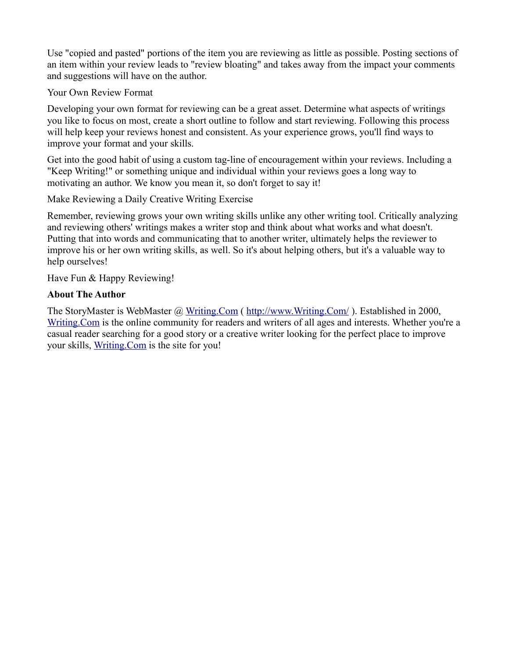Use "copied and pasted" portions of the item you are reviewing as little as possible. Posting sections of an item within your review leads to "review bloating" and takes away from the impact your comments and suggestions will have on the author.

#### Your Own Review Format

Developing your own format for reviewing can be a great asset. Determine what aspects of writings you like to focus on most, create a short outline to follow and start reviewing. Following this process will help keep your reviews honest and consistent. As your experience grows, you'll find ways to improve your format and your skills.

Get into the good habit of using a custom tag-line of encouragement within your reviews. Including a "Keep Writing!" or something unique and individual within your reviews goes a long way to motivating an author. We know you mean it, so don't forget to say it!

Make Reviewing a Daily Creative Writing Exercise

Remember, reviewing grows your own writing skills unlike any other writing tool. Critically analyzing and reviewing others' writings makes a writer stop and think about what works and what doesn't. Putting that into words and communicating that to another writer, ultimately helps the reviewer to improve his or her own writing skills, as well. So it's about helping others, but it's a valuable way to help ourselves!

Have Fun & Happy Reviewing!

## **About The Author**

The StoryMaster is WebMaster @ [Writing.Com](http://Writing.Com/) (http://www.Writing.Com/). Established in 2000, [Writing.Com](http://Writing.Com/) is the online community for readers and writers of all ages and interests. Whether you're a casual reader searching for a good story or a creative writer looking for the perfect place to improve your skills, [Writing.Com](http://Writing.Com/) is the site for you!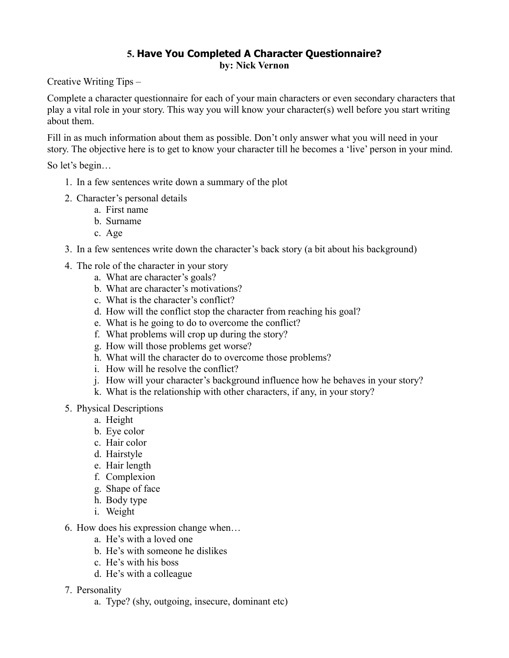## **5. Have You Completed A Character Questionnaire? by: Nick Vernon**

Creative Writing Tips –

Complete a character questionnaire for each of your main characters or even secondary characters that play a vital role in your story. This way you will know your character(s) well before you start writing about them.

Fill in as much information about them as possible. Don't only answer what you will need in your story. The objective here is to get to know your character till he becomes a 'live' person in your mind.

So let's begin…

- 1. In a few sentences write down a summary of the plot
- 2. Character's personal details
	- a. First name
	- b. Surname
	- c. Age
- 3. In a few sentences write down the character's back story (a bit about his background)
- 4. The role of the character in your story
	- a. What are character's goals?
	- b. What are character's motivations?
	- c. What is the character's conflict?
	- d. How will the conflict stop the character from reaching his goal?
	- e. What is he going to do to overcome the conflict?
	- f. What problems will crop up during the story?
	- g. How will those problems get worse?
	- h. What will the character do to overcome those problems?
	- i. How will he resolve the conflict?
	- j. How will your character's background influence how he behaves in your story?
	- k. What is the relationship with other characters, if any, in your story?
- 5. Physical Descriptions
	- a. Height
	- b. Eye color
	- c. Hair color
	- d. Hairstyle
	- e. Hair length
	- f. Complexion
	- g. Shape of face
	- h. Body type
	- i. Weight
- 6. How does his expression change when…
	- a. He's with a loved one
	- b. He's with someone he dislikes
	- c. He's with his boss
	- d. He's with a colleague
- 7. Personality
	- a. Type? (shy, outgoing, insecure, dominant etc)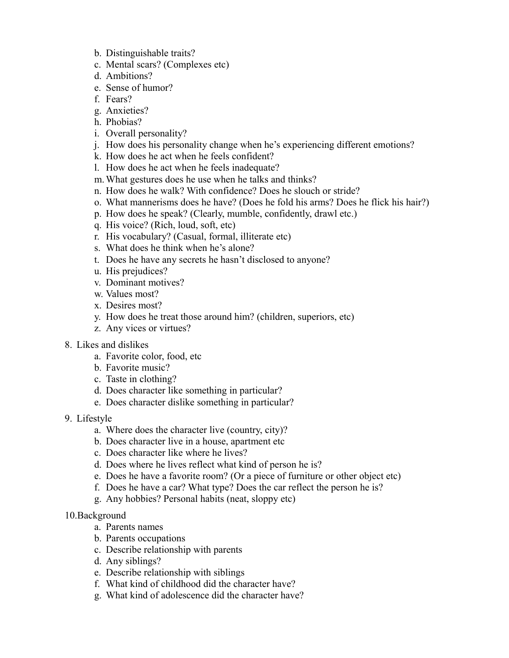- b. Distinguishable traits?
- c. Mental scars? (Complexes etc)
- d. Ambitions?
- e. Sense of humor?
- f. Fears?
- g. Anxieties?
- h. Phobias?
- i. Overall personality?
- j. How does his personality change when he's experiencing different emotions?
- k. How does he act when he feels confident?
- l. How does he act when he feels inadequate?
- m.What gestures does he use when he talks and thinks?
- n. How does he walk? With confidence? Does he slouch or stride?
- o. What mannerisms does he have? (Does he fold his arms? Does he flick his hair?)
- p. How does he speak? (Clearly, mumble, confidently, drawl etc.)
- q. His voice? (Rich, loud, soft, etc)
- r. His vocabulary? (Casual, formal, illiterate etc)
- s. What does he think when he's alone?
- t. Does he have any secrets he hasn't disclosed to anyone?
- u. His prejudices?
- v. Dominant motives?
- w. Values most?
- x. Desires most?
- y. How does he treat those around him? (children, superiors, etc)
- z. Any vices or virtues?
- 8. Likes and dislikes
	- a. Favorite color, food, etc
	- b. Favorite music?
	- c. Taste in clothing?
	- d. Does character like something in particular?
	- e. Does character dislike something in particular?
- 9. Lifestyle
	- a. Where does the character live (country, city)?
	- b. Does character live in a house, apartment etc
	- c. Does character like where he lives?
	- d. Does where he lives reflect what kind of person he is?
	- e. Does he have a favorite room? (Or a piece of furniture or other object etc)
	- f. Does he have a car? What type? Does the car reflect the person he is?
	- g. Any hobbies? Personal habits (neat, sloppy etc)
- 10.Background
	- a. Parents names
	- b. Parents occupations
	- c. Describe relationship with parents
	- d. Any siblings?
	- e. Describe relationship with siblings
	- f. What kind of childhood did the character have?
	- g. What kind of adolescence did the character have?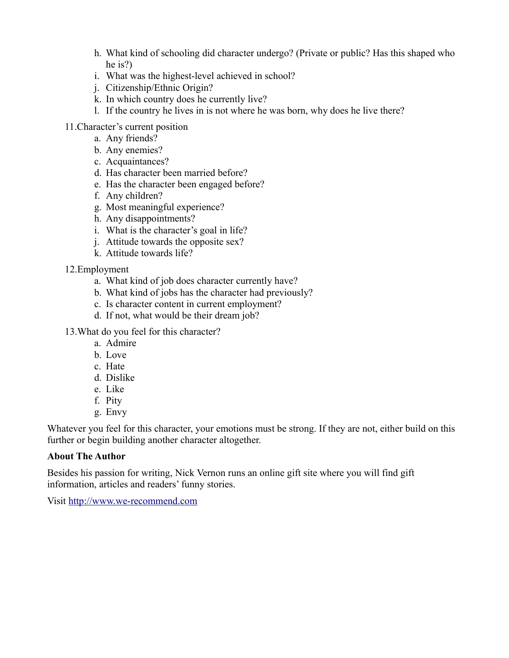- h. What kind of schooling did character undergo? (Private or public? Has this shaped who he is?)
- i. What was the highest-level achieved in school?
- j. Citizenship/Ethnic Origin?
- k. In which country does he currently live?
- l. If the country he lives in is not where he was born, why does he live there?
- 11.Character's current position
	- a. Any friends?
	- b. Any enemies?
	- c. Acquaintances?
	- d. Has character been married before?
	- e. Has the character been engaged before?
	- f. Any children?
	- g. Most meaningful experience?
	- h. Any disappointments?
	- i. What is the character's goal in life?
	- j. Attitude towards the opposite sex?
	- k. Attitude towards life?

## 12.Employment

- a. What kind of job does character currently have?
- b. What kind of jobs has the character had previously?
- c. Is character content in current employment?
- d. If not, what would be their dream job?
- 13.What do you feel for this character?
	- a. Admire
	- b. Love
	- c. Hate
	- d. Dislike
	- e. Like
	- f. Pity
	- g. Envy

Whatever you feel for this character, your emotions must be strong. If they are not, either build on this further or begin building another character altogether.

## **About The Author**

Besides his passion for writing, Nick Vernon runs an online gift site where you will find gift information, articles and readers' funny stories.

Visit [http://www.we-recommend.com](http://www.we-recommend.com/)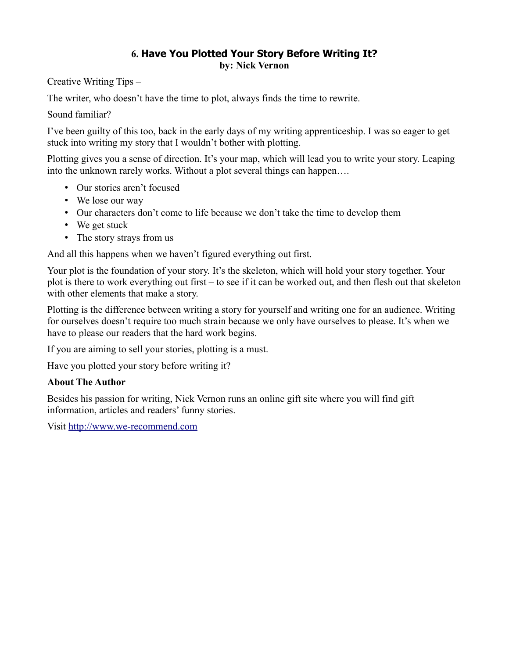# **6. Have You Plotted Your Story Before Writing It? by: Nick Vernon**

Creative Writing Tips –

The writer, who doesn't have the time to plot, always finds the time to rewrite.

Sound familiar?

I've been guilty of this too, back in the early days of my writing apprenticeship. I was so eager to get stuck into writing my story that I wouldn't bother with plotting.

Plotting gives you a sense of direction. It's your map, which will lead you to write your story. Leaping into the unknown rarely works. Without a plot several things can happen….

- Our stories aren't focused
- We lose our way
- Our characters don't come to life because we don't take the time to develop them
- We get stuck
- The story strays from us

And all this happens when we haven't figured everything out first.

Your plot is the foundation of your story. It's the skeleton, which will hold your story together. Your plot is there to work everything out first – to see if it can be worked out, and then flesh out that skeleton with other elements that make a story.

Plotting is the difference between writing a story for yourself and writing one for an audience. Writing for ourselves doesn't require too much strain because we only have ourselves to please. It's when we have to please our readers that the hard work begins.

If you are aiming to sell your stories, plotting is a must.

Have you plotted your story before writing it?

## **About The Author**

Besides his passion for writing, Nick Vernon runs an online gift site where you will find gift information, articles and readers' funny stories.

Visit [http://www.we-recommend.com](http://www.we-recommend.com/)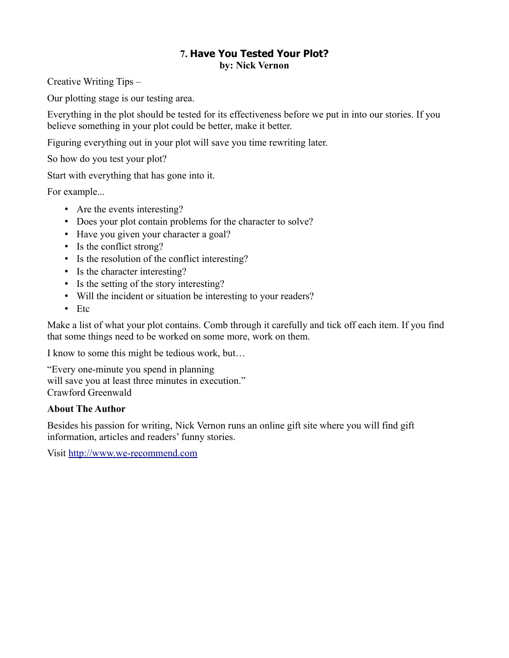#### **7. Have You Tested Your Plot? by: Nick Vernon**

Creative Writing Tips –

Our plotting stage is our testing area.

Everything in the plot should be tested for its effectiveness before we put in into our stories. If you believe something in your plot could be better, make it better.

Figuring everything out in your plot will save you time rewriting later.

So how do you test your plot?

Start with everything that has gone into it.

For example...

- Are the events interesting?
- Does your plot contain problems for the character to solve?
- Have you given your character a goal?
- Is the conflict strong?
- Is the resolution of the conflict interesting?
- Is the character interesting?
- Is the setting of the story interesting?
- Will the incident or situation be interesting to your readers?
- Etc

Make a list of what your plot contains. Comb through it carefully and tick off each item. If you find that some things need to be worked on some more, work on them.

I know to some this might be tedious work, but…

"Every one-minute you spend in planning will save you at least three minutes in execution." Crawford Greenwald

## **About The Author**

Besides his passion for writing, Nick Vernon runs an online gift site where you will find gift information, articles and readers' funny stories.

Visit [http://www.we-recommend.com](http://www.we-recommend.com/)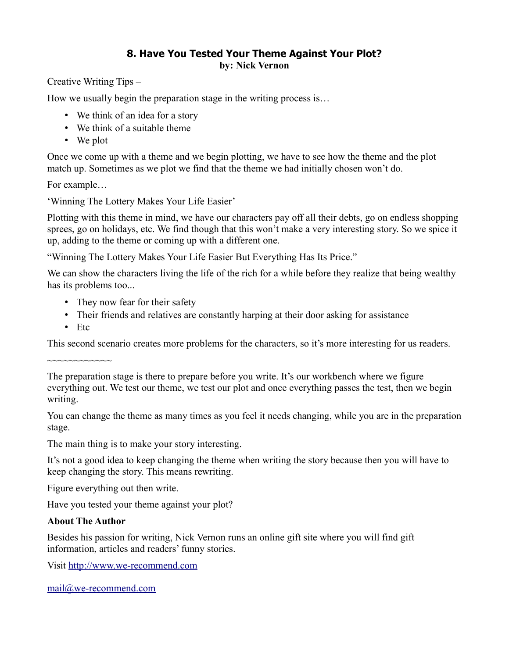# **8. Have You Tested Your Theme Against Your Plot? by: Nick Vernon**

Creative Writing Tips –

How we usually begin the preparation stage in the writing process is…

- We think of an idea for a story
- We think of a suitable theme
- We plot

Once we come up with a theme and we begin plotting, we have to see how the theme and the plot match up. Sometimes as we plot we find that the theme we had initially chosen won't do.

For example…

'Winning The Lottery Makes Your Life Easier'

Plotting with this theme in mind, we have our characters pay off all their debts, go on endless shopping sprees, go on holidays, etc. We find though that this won't make a very interesting story. So we spice it up, adding to the theme or coming up with a different one.

"Winning The Lottery Makes Your Life Easier But Everything Has Its Price."

We can show the characters living the life of the rich for a while before they realize that being wealthy has its problems too...

- They now fear for their safety
- Their friends and relatives are constantly harping at their door asking for assistance
- Etc

This second scenario creates more problems for the characters, so it's more interesting for us readers.

~~~~~~~~~~~~

The preparation stage is there to prepare before you write. It's our workbench where we figure everything out. We test our theme, we test our plot and once everything passes the test, then we begin writing.

You can change the theme as many times as you feel it needs changing, while you are in the preparation stage.

The main thing is to make your story interesting.

It's not a good idea to keep changing the theme when writing the story because then you will have to keep changing the story. This means rewriting.

Figure everything out then write.

Have you tested your theme against your plot?

# **About The Author**

Besides his passion for writing, Nick Vernon runs an online gift site where you will find gift information, articles and readers' funny stories.

Visit [http://www.we-recommend.com](http://www.we-recommend.com/)

[mail@we-recommend.com](mailto:mail@we-recommend.com)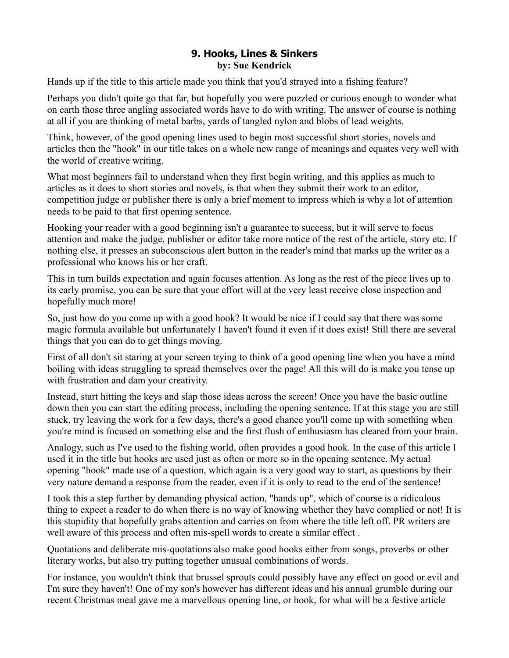# **9. Hooks, Lines & Sinkers by: Sue Kendrick**

Hands up if the title to this article made you think that you'd strayed into a fishing feature?

Perhaps you didn't quite go that far, but hopefully you were puzzled or curious enough to wonder what on earth those three angling associated words have to do with writing. The answer of course is nothing at all if you are thinking of metal barbs, yards of tangled nylon and blobs of lead weights.

Think, however, of the good opening lines used to begin most successful short stories, novels and articles then the "hook" in our title takes on a whole new range of meanings and equates very well with the world of creative writing.

What most beginners fail to understand when they first begin writing, and this applies as much to articles as it does to short stories and novels, is that when they submit their work to an editor, competition judge or publisher there is only a brief moment to impress which is why a lot of attention needs to be paid to that first opening sentence.

Hooking your reader with a good beginning isn't a guarantee to success, but it will serve to focus attention and make the judge, publisher or editor take more notice of the rest of the article, story etc. If nothing else, it presses an subconscious alert button in the reader's mind that marks up the writer as a professional who knows his or her craft.

This in turn builds expectation and again focuses attention. As long as the rest of the piece lives up to its early promise, you can be sure that your effort will at the very least receive close inspection and hopefully much more!

So, just how do you come up with a good hook? It would be nice if I could say that there was some magic formula available but unfortunately I haven't found it even if it does exist! Still there are several things that you can do to get things moving.

First of all don't sit staring at your screen trying to think of a good opening line when you have a mind boiling with ideas struggling to spread themselves over the page! All this will do is make you tense up with frustration and dam your creativity.

Instead, start hitting the keys and slap those ideas across the screen! Once you have the basic outline down then you can start the editing process, including the opening sentence. If at this stage you are still stuck, try leaving the work for a few days, there's a good chance you'll come up with something when you're mind is focused on something else and the first flush of enthusiasm has cleared from your brain.

Analogy, such as I've used to the fishing world, often provides a good hook. In the case of this article I used it in the title but hooks are used just as often or more so in the opening sentence. My actual opening "hook" made use of a question, which again is a very good way to start, as questions by their very nature demand a response from the reader, even if it is only to read to the end of the sentence!

I took this a step further by demanding physical action, "hands up", which of course is a ridiculous thing to expect a reader to do when there is no way of knowing whether they have complied or not! It is this stupidity that hopefully grabs attention and carries on from where the title left off. PR writers are well aware of this process and often mis-spell words to create a similar effect .

Quotations and deliberate mis-quotations also make good hooks either from songs, proverbs or other literary works, but also try putting together unusual combinations of words.

For instance, you wouldn't think that brussel sprouts could possibly have any effect on good or evil and I'm sure they haven't! One of my son's however has different ideas and his annual grumble during our recent Christmas meal gave me a marvellous opening line, or hook, for what will be a festive article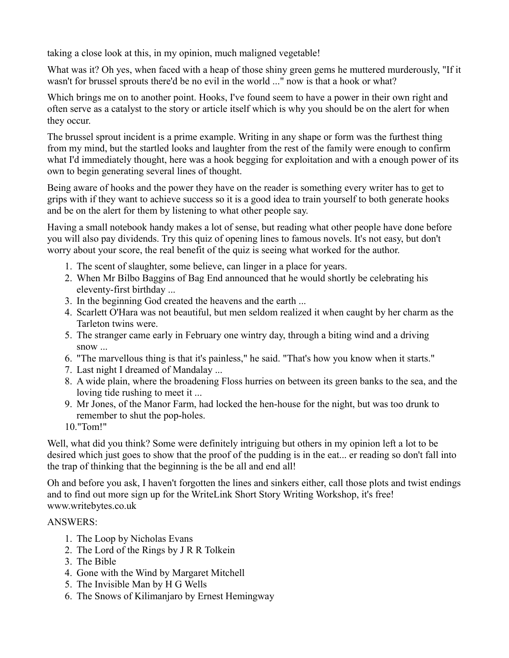taking a close look at this, in my opinion, much maligned vegetable!

What was it? Oh yes, when faced with a heap of those shiny green gems he muttered murderously, "If it wasn't for brussel sprouts there'd be no evil in the world ..." now is that a hook or what?

Which brings me on to another point. Hooks, I've found seem to have a power in their own right and often serve as a catalyst to the story or article itself which is why you should be on the alert for when they occur.

The brussel sprout incident is a prime example. Writing in any shape or form was the furthest thing from my mind, but the startled looks and laughter from the rest of the family were enough to confirm what I'd immediately thought, here was a hook begging for exploitation and with a enough power of its own to begin generating several lines of thought.

Being aware of hooks and the power they have on the reader is something every writer has to get to grips with if they want to achieve success so it is a good idea to train yourself to both generate hooks and be on the alert for them by listening to what other people say.

Having a small notebook handy makes a lot of sense, but reading what other people have done before you will also pay dividends. Try this quiz of opening lines to famous novels. It's not easy, but don't worry about your score, the real benefit of the quiz is seeing what worked for the author.

- 1. The scent of slaughter, some believe, can linger in a place for years.
- 2. When Mr Bilbo Baggins of Bag End announced that he would shortly be celebrating his eleventy-first birthday ...
- 3. In the beginning God created the heavens and the earth ...
- 4. Scarlett O'Hara was not beautiful, but men seldom realized it when caught by her charm as the Tarleton twins were.
- 5. The stranger came early in February one wintry day, through a biting wind and a driving snow ...
- 6. "The marvellous thing is that it's painless," he said. "That's how you know when it starts."
- 7. Last night I dreamed of Mandalay ...
- 8. A wide plain, where the broadening Floss hurries on between its green banks to the sea, and the loving tide rushing to meet it ...
- 9. Mr Jones, of the Manor Farm, had locked the hen-house for the night, but was too drunk to remember to shut the pop-holes.

10."Tom!"

Well, what did you think? Some were definitely intriguing but others in my opinion left a lot to be desired which just goes to show that the proof of the pudding is in the eat... er reading so don't fall into the trap of thinking that the beginning is the be all and end all!

Oh and before you ask, I haven't forgotten the lines and sinkers either, call those plots and twist endings and to find out more sign up for the WriteLink Short Story Writing Workshop, it's free! www.writebytes.co.uk

## ANSWERS:

- 1. The Loop by Nicholas Evans
- 2. The Lord of the Rings by J R R Tolkein
- 3. The Bible
- 4. Gone with the Wind by Margaret Mitchell
- 5. The Invisible Man by H G Wells
- 6. The Snows of Kilimanjaro by Ernest Hemingway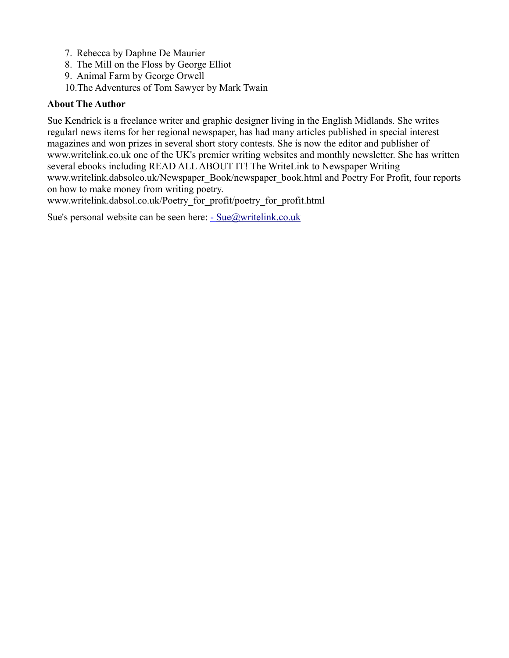- 7. Rebecca by Daphne De Maurier
- 8. The Mill on the Floss by George Elliot
- 9. Animal Farm by George Orwell
- 10.The Adventures of Tom Sawyer by Mark Twain

#### **About The Author**

Sue Kendrick is a freelance writer and graphic designer living in the English Midlands. She writes regularl news items for her regional newspaper, has had many articles published in special interest magazines and won prizes in several short story contests. She is now the editor and publisher of www.writelink.co.uk one of the UK's premier writing websites and monthly newsletter. She has written several ebooks including READ ALL ABOUT IT! The WriteLink to Newspaper Writing www.writelink.dabsolco.uk/Newspaper\_Book/newspaper\_book.html and Poetry For Profit, four reports on how to make money from writing poetry.

www.writelink.dabsol.co.uk/Poetry\_for\_profit/poetry\_for\_profit.html

Sue's personal website can be seen here:  $\frac{-\text{Sue@writelink.co.uk}}{}$  $\frac{-\text{Sue@writelink.co.uk}}{}$  $\frac{-\text{Sue@writelink.co.uk}}{}$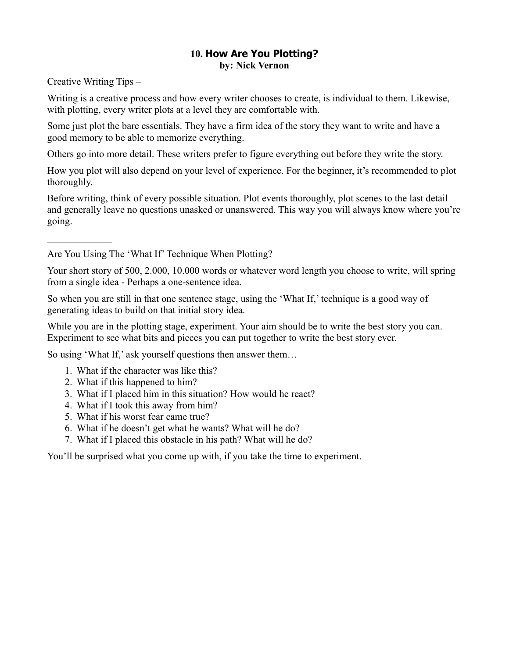## **10. How Are You Plotting? by: Nick Vernon**

Creative Writing Tips –

 $\mathcal{L}_\text{max}$ 

Writing is a creative process and how every writer chooses to create, is individual to them. Likewise, with plotting, every writer plots at a level they are comfortable with.

Some just plot the bare essentials. They have a firm idea of the story they want to write and have a good memory to be able to memorize everything.

Others go into more detail. These writers prefer to figure everything out before they write the story.

How you plot will also depend on your level of experience. For the beginner, it's recommended to plot thoroughly.

Before writing, think of every possible situation. Plot events thoroughly, plot scenes to the last detail and generally leave no questions unasked or unanswered. This way you will always know where you're going.

Are You Using The 'What If' Technique When Plotting?

Your short story of 500, 2.000, 10.000 words or whatever word length you choose to write, will spring from a single idea - Perhaps a one-sentence idea.

So when you are still in that one sentence stage, using the 'What If,' technique is a good way of generating ideas to build on that initial story idea.

While you are in the plotting stage, experiment. Your aim should be to write the best story you can. Experiment to see what bits and pieces you can put together to write the best story ever.

So using 'What If,' ask yourself questions then answer them…

- 1. What if the character was like this?
- 2. What if this happened to him?
- 3. What if I placed him in this situation? How would he react?
- 4. What if I took this away from him?
- 5. What if his worst fear came true?
- 6. What if he doesn't get what he wants? What will he do?
- 7. What if I placed this obstacle in his path? What will he do?

You'll be surprised what you come up with, if you take the time to experiment.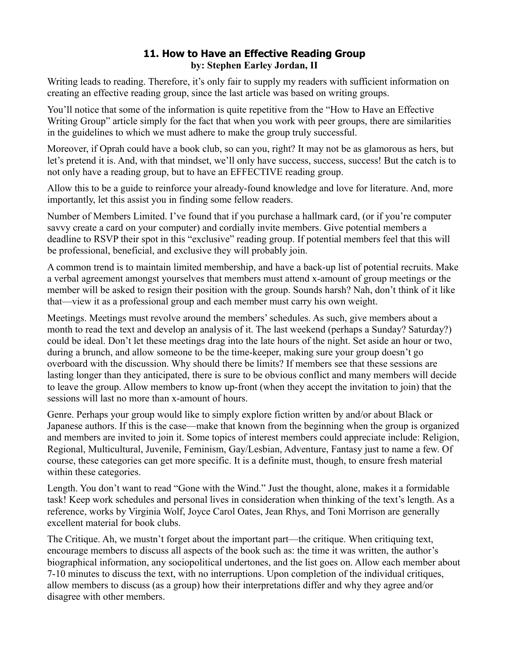# **11. How to Have an Effective Reading Group by: Stephen Earley Jordan, II**

Writing leads to reading. Therefore, it's only fair to supply my readers with sufficient information on creating an effective reading group, since the last article was based on writing groups.

You'll notice that some of the information is quite repetitive from the "How to Have an Effective Writing Group" article simply for the fact that when you work with peer groups, there are similarities in the guidelines to which we must adhere to make the group truly successful.

Moreover, if Oprah could have a book club, so can you, right? It may not be as glamorous as hers, but let's pretend it is. And, with that mindset, we'll only have success, success, success! But the catch is to not only have a reading group, but to have an EFFECTIVE reading group.

Allow this to be a guide to reinforce your already-found knowledge and love for literature. And, more importantly, let this assist you in finding some fellow readers.

Number of Members Limited. I've found that if you purchase a hallmark card, (or if you're computer savvy create a card on your computer) and cordially invite members. Give potential members a deadline to RSVP their spot in this "exclusive" reading group. If potential members feel that this will be professional, beneficial, and exclusive they will probably join.

A common trend is to maintain limited membership, and have a back-up list of potential recruits. Make a verbal agreement amongst yourselves that members must attend x-amount of group meetings or the member will be asked to resign their position with the group. Sounds harsh? Nah, don't think of it like that—view it as a professional group and each member must carry his own weight.

Meetings. Meetings must revolve around the members' schedules. As such, give members about a month to read the text and develop an analysis of it. The last weekend (perhaps a Sunday? Saturday?) could be ideal. Don't let these meetings drag into the late hours of the night. Set aside an hour or two, during a brunch, and allow someone to be the time-keeper, making sure your group doesn't go overboard with the discussion. Why should there be limits? If members see that these sessions are lasting longer than they anticipated, there is sure to be obvious conflict and many members will decide to leave the group. Allow members to know up-front (when they accept the invitation to join) that the sessions will last no more than x-amount of hours.

Genre. Perhaps your group would like to simply explore fiction written by and/or about Black or Japanese authors. If this is the case—make that known from the beginning when the group is organized and members are invited to join it. Some topics of interest members could appreciate include: Religion, Regional, Multicultural, Juvenile, Feminism, Gay/Lesbian, Adventure, Fantasy just to name a few. Of course, these categories can get more specific. It is a definite must, though, to ensure fresh material within these categories.

Length. You don't want to read "Gone with the Wind." Just the thought, alone, makes it a formidable task! Keep work schedules and personal lives in consideration when thinking of the text's length. As a reference, works by Virginia Wolf, Joyce Carol Oates, Jean Rhys, and Toni Morrison are generally excellent material for book clubs.

The Critique. Ah, we mustn't forget about the important part—the critique. When critiquing text, encourage members to discuss all aspects of the book such as: the time it was written, the author's biographical information, any sociopolitical undertones, and the list goes on. Allow each member about 7-10 minutes to discuss the text, with no interruptions. Upon completion of the individual critiques, allow members to discuss (as a group) how their interpretations differ and why they agree and/or disagree with other members.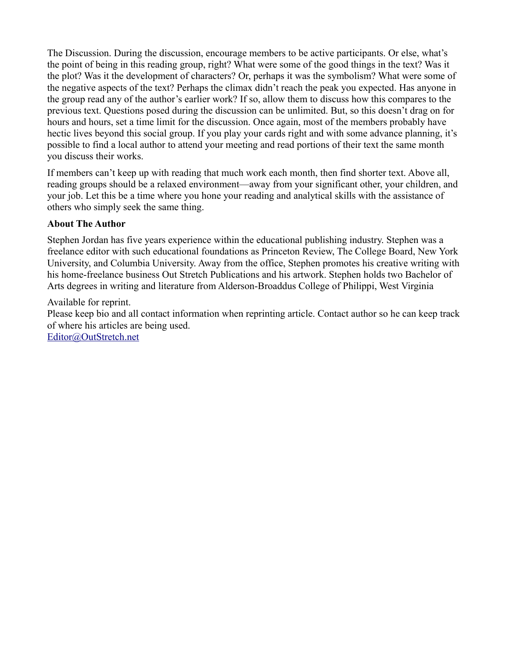The Discussion. During the discussion, encourage members to be active participants. Or else, what's the point of being in this reading group, right? What were some of the good things in the text? Was it the plot? Was it the development of characters? Or, perhaps it was the symbolism? What were some of the negative aspects of the text? Perhaps the climax didn't reach the peak you expected. Has anyone in the group read any of the author's earlier work? If so, allow them to discuss how this compares to the previous text. Questions posed during the discussion can be unlimited. But, so this doesn't drag on for hours and hours, set a time limit for the discussion. Once again, most of the members probably have hectic lives beyond this social group. If you play your cards right and with some advance planning, it's possible to find a local author to attend your meeting and read portions of their text the same month you discuss their works.

If members can't keep up with reading that much work each month, then find shorter text. Above all, reading groups should be a relaxed environment—away from your significant other, your children, and your job. Let this be a time where you hone your reading and analytical skills with the assistance of others who simply seek the same thing.

## **About The Author**

Stephen Jordan has five years experience within the educational publishing industry. Stephen was a freelance editor with such educational foundations as Princeton Review, The College Board, New York University, and Columbia University. Away from the office, Stephen promotes his creative writing with his home-freelance business Out Stretch Publications and his artwork. Stephen holds two Bachelor of Arts degrees in writing and literature from Alderson-Broaddus College of Philippi, West Virginia

#### Available for reprint.

Please keep bio and all contact information when reprinting article. Contact author so he can keep track of where his articles are being used.

[Editor@OutStretch.net](mailto:Editor@OutStretch.net)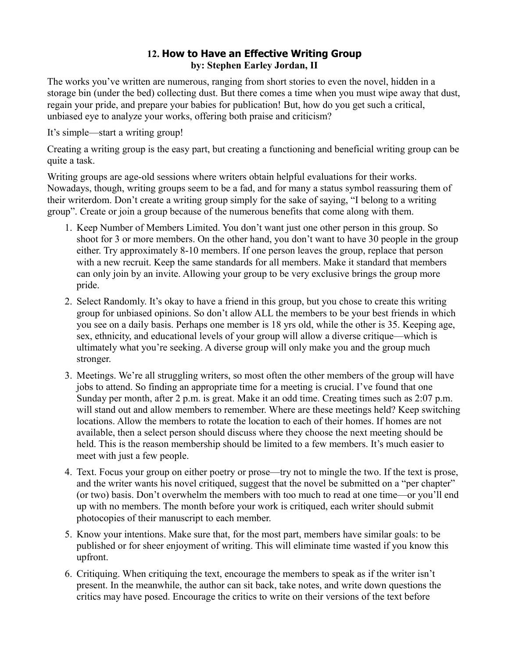# **12. How to Have an Effective Writing Group by: Stephen Earley Jordan, II**

The works you've written are numerous, ranging from short stories to even the novel, hidden in a storage bin (under the bed) collecting dust. But there comes a time when you must wipe away that dust, regain your pride, and prepare your babies for publication! But, how do you get such a critical, unbiased eye to analyze your works, offering both praise and criticism?

It's simple—start a writing group!

Creating a writing group is the easy part, but creating a functioning and beneficial writing group can be quite a task.

Writing groups are age-old sessions where writers obtain helpful evaluations for their works. Nowadays, though, writing groups seem to be a fad, and for many a status symbol reassuring them of their writerdom. Don't create a writing group simply for the sake of saying, "I belong to a writing group". Create or join a group because of the numerous benefits that come along with them.

- 1. Keep Number of Members Limited. You don't want just one other person in this group. So shoot for 3 or more members. On the other hand, you don't want to have 30 people in the group either. Try approximately 8-10 members. If one person leaves the group, replace that person with a new recruit. Keep the same standards for all members. Make it standard that members can only join by an invite. Allowing your group to be very exclusive brings the group more pride.
- 2. Select Randomly. It's okay to have a friend in this group, but you chose to create this writing group for unbiased opinions. So don't allow ALL the members to be your best friends in which you see on a daily basis. Perhaps one member is 18 yrs old, while the other is 35. Keeping age, sex, ethnicity, and educational levels of your group will allow a diverse critique—which is ultimately what you're seeking. A diverse group will only make you and the group much stronger.
- 3. Meetings. We're all struggling writers, so most often the other members of the group will have jobs to attend. So finding an appropriate time for a meeting is crucial. I've found that one Sunday per month, after 2 p.m. is great. Make it an odd time. Creating times such as 2:07 p.m. will stand out and allow members to remember. Where are these meetings held? Keep switching locations. Allow the members to rotate the location to each of their homes. If homes are not available, then a select person should discuss where they choose the next meeting should be held. This is the reason membership should be limited to a few members. It's much easier to meet with just a few people.
- 4. Text. Focus your group on either poetry or prose—try not to mingle the two. If the text is prose, and the writer wants his novel critiqued, suggest that the novel be submitted on a "per chapter" (or two) basis. Don't overwhelm the members with too much to read at one time—or you'll end up with no members. The month before your work is critiqued, each writer should submit photocopies of their manuscript to each member.
- 5. Know your intentions. Make sure that, for the most part, members have similar goals: to be published or for sheer enjoyment of writing. This will eliminate time wasted if you know this upfront.
- 6. Critiquing. When critiquing the text, encourage the members to speak as if the writer isn't present. In the meanwhile, the author can sit back, take notes, and write down questions the critics may have posed. Encourage the critics to write on their versions of the text before